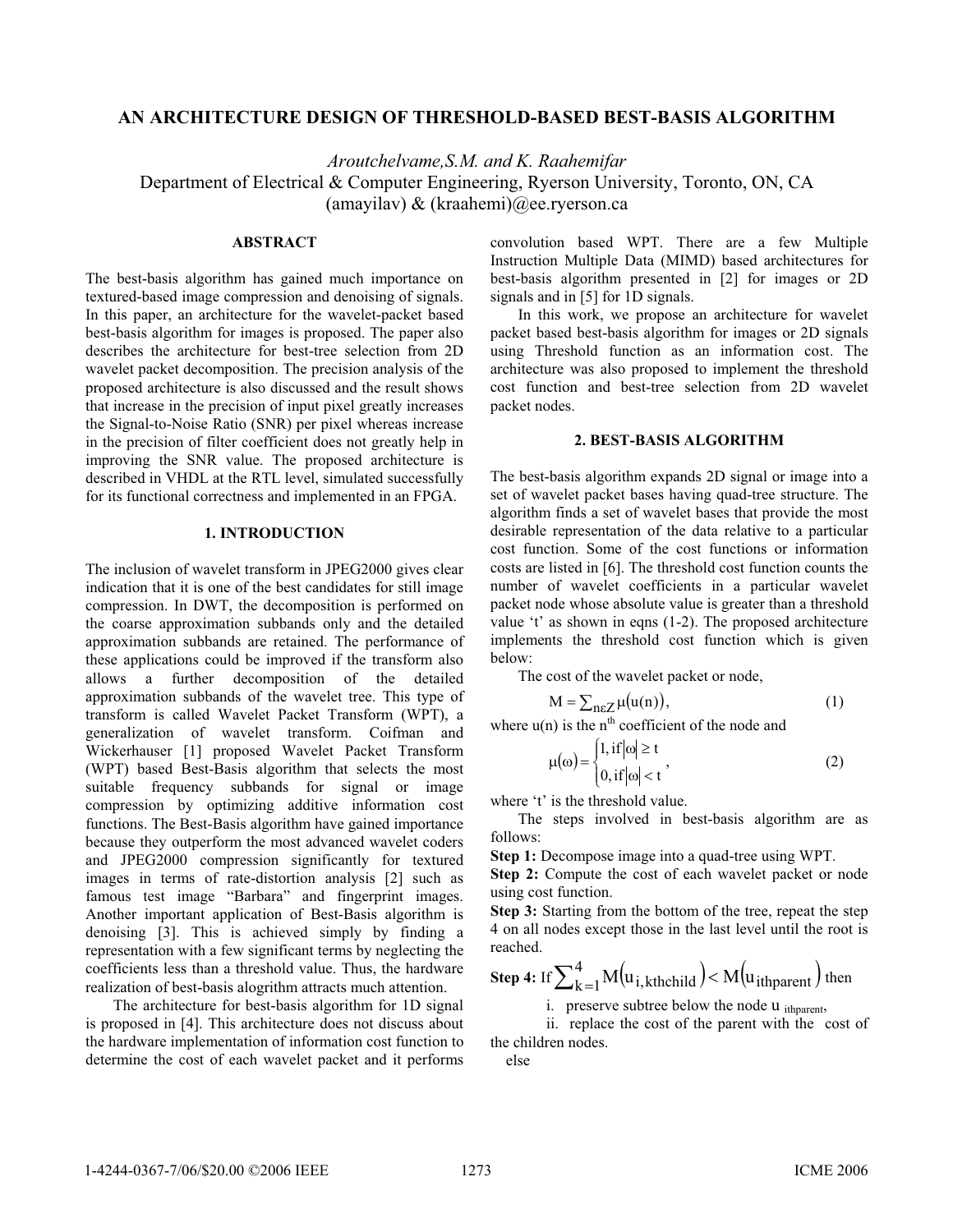# **AN ARCHITECTURE DESIGN OF THRESHOLD-BASED BEST-BASIS ALGORITHM**

*Aroutchelvame,S.M. and K. Raahemifar*  Department of Electrical & Computer Engineering, Ryerson University, Toronto, ON, CA (amayilav) & (kraahemi)@ee.ryerson.ca

# **ABSTRACT**

The best-basis algorithm has gained much importance on textured-based image compression and denoising of signals. In this paper, an architecture for the wavelet-packet based best-basis algorithm for images is proposed. The paper also describes the architecture for best-tree selection from 2D wavelet packet decomposition. The precision analysis of the proposed architecture is also discussed and the result shows that increase in the precision of input pixel greatly increases the Signal-to-Noise Ratio (SNR) per pixel whereas increase in the precision of filter coefficient does not greatly help in improving the SNR value. The proposed architecture is described in VHDL at the RTL level, simulated successfully for its functional correctness and implemented in an FPGA.

#### **1. INTRODUCTION**

The inclusion of wavelet transform in JPEG2000 gives clear indication that it is one of the best candidates for still image compression. In DWT, the decomposition is performed on the coarse approximation subbands only and the detailed approximation subbands are retained. The performance of these applications could be improved if the transform also allows a further decomposition of the detailed approximation subbands of the wavelet tree. This type of transform is called Wavelet Packet Transform (WPT), a generalization of wavelet transform. Coifman and Wickerhauser [1] proposed Wavelet Packet Transform (WPT) based Best-Basis algorithm that selects the most suitable frequency subbands for signal or image compression by optimizing additive information cost functions. The Best-Basis algorithm have gained importance because they outperform the most advanced wavelet coders and JPEG2000 compression significantly for textured images in terms of rate-distortion analysis [2] such as famous test image "Barbara" and fingerprint images. Another important application of Best-Basis algorithm is denoising [3]. This is achieved simply by finding a representation with a few significant terms by neglecting the coefficients less than a threshold value. Thus, the hardware realization of best-basis alogrithm attracts much attention.

The architecture for best-basis algorithm for 1D signal is proposed in [4]. This architecture does not discuss about the hardware implementation of information cost function to determine the cost of each wavelet packet and it performs

convolution based WPT. There are a few Multiple Instruction Multiple Data (MIMD) based architectures for best-basis algorithm presented in [2] for images or 2D signals and in [5] for 1D signals.

In this work, we propose an architecture for wavelet packet based best-basis algorithm for images or 2D signals using Threshold function as an information cost. The architecture was also proposed to implement the threshold cost function and best-tree selection from 2D wavelet packet nodes.

## **2. BEST-BASIS ALGORITHM**

The best-basis algorithm expands 2D signal or image into a set of wavelet packet bases having quad-tree structure. The algorithm finds a set of wavelet bases that provide the most desirable representation of the data relative to a particular cost function. Some of the cost functions or information costs are listed in [6]. The threshold cost function counts the number of wavelet coefficients in a particular wavelet packet node whose absolute value is greater than a threshold value 't' as shown in eqns (1-2). The proposed architecture implements the threshold cost function which is given below:

The cost of the wavelet packet or node,

$$
M = \sum_{n \in \mathbb{Z}} \mu(u(n)),\tag{1}
$$

where  $u(n)$  is the n<sup>th</sup> coefficient of the node and

$$
\mu(\omega) = \begin{cases} 1, \text{ if } |\omega| \ge t \\ 0, \text{ if } |\omega| < t \end{cases}
$$
 (2)

where 't' is the threshold value.

The steps involved in best-basis algorithm are as follows:

**Step 1:** Decompose image into a quad-tree using WPT.

**Step 2:** Compute the cost of each wavelet packet or node using cost function.

**Step 3:** Starting from the bottom of the tree, repeat the step 4 on all nodes except those in the last level until the root is reached.

Step 4: If 
$$
\sum_{k=1}^{4} M(u_{i, kthchild}) < M(u_{ithparent})
$$
 then

i. preserve subtree below the node  $\mu$  ith the normal state.

 ii. replace the cost of the parent with the cost of the children nodes.

else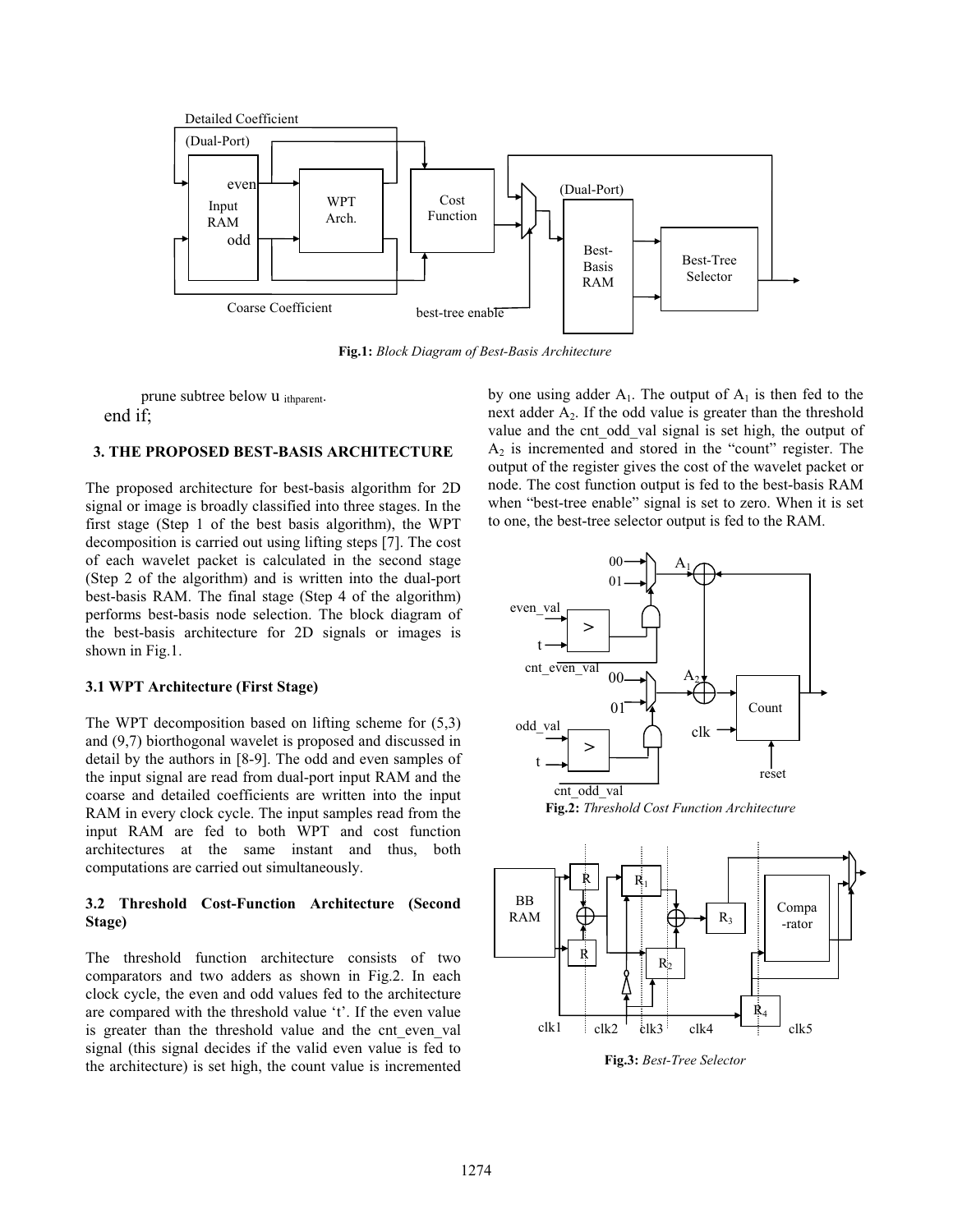

**Fig.1:** *Block Diagram of Best-Basis Architecture*

prune subtree below u <sub>ithparent</sub>. end if;

# **3. THE PROPOSED BEST-BASIS ARCHITECTURE**

The proposed architecture for best-basis algorithm for 2D signal or image is broadly classified into three stages. In the first stage (Step 1 of the best basis algorithm), the WPT decomposition is carried out using lifting steps [7]. The cost of each wavelet packet is calculated in the second stage (Step 2 of the algorithm) and is written into the dual-port best-basis RAM. The final stage (Step 4 of the algorithm) performs best-basis node selection. The block diagram of the best-basis architecture for 2D signals or images is shown in Fig.1.

## **3.1 WPT Architecture (First Stage)**

The WPT decomposition based on lifting scheme for (5,3) and (9,7) biorthogonal wavelet is proposed and discussed in detail by the authors in [8-9]. The odd and even samples of the input signal are read from dual-port input RAM and the coarse and detailed coefficients are written into the input RAM in every clock cycle. The input samples read from the input RAM are fed to both WPT and cost function architectures at the same instant and thus, both computations are carried out simultaneously.

# **3.2 Threshold Cost-Function Architecture (Second Stage)**

The threshold function architecture consists of two comparators and two adders as shown in Fig.2. In each clock cycle, the even and odd values fed to the architecture are compared with the threshold value 't'. If the even value is greater than the threshold value and the cnt even val signal (this signal decides if the valid even value is fed to the architecture) is set high, the count value is incremented

by one using adder  $A_1$ . The output of  $A_1$  is then fed to the next adder  $A<sub>2</sub>$ . If the odd value is greater than the threshold value and the cnt odd val signal is set high, the output of  $A<sub>2</sub>$  is incremented and stored in the "count" register. The output of the register gives the cost of the wavelet packet or node. The cost function output is fed to the best-basis RAM when "best-tree enable" signal is set to zero. When it is set to one, the best-tree selector output is fed to the RAM.



**Fig.2:** *Threshold Cost Function Architecture*



**Fig.3:** *Best-Tree Selector*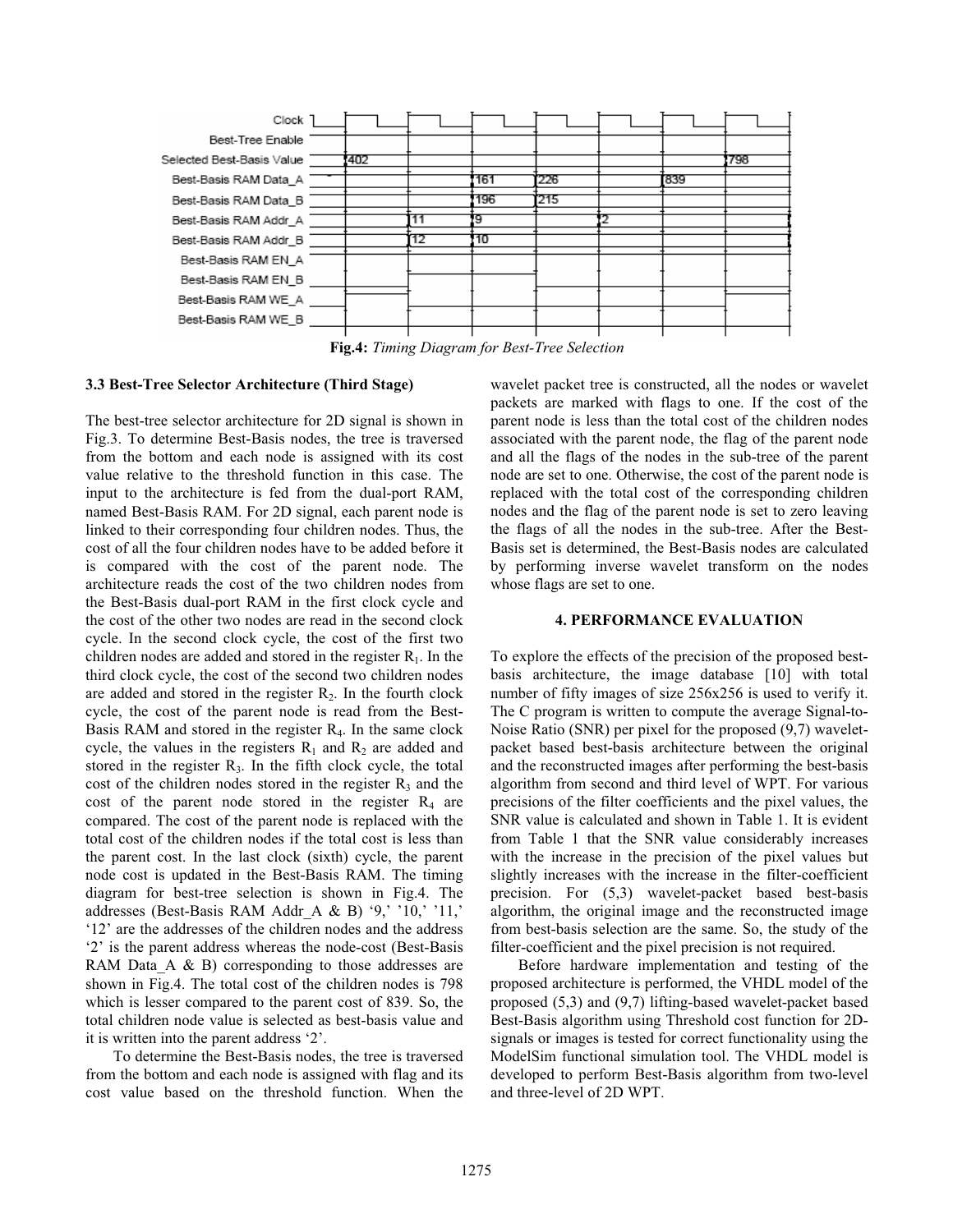

**Fig.4:** *Timing Diagram for Best-Tree Selection*

## **3.3 Best-Tree Selector Architecture (Third Stage)**

The best-tree selector architecture for 2D signal is shown in Fig.3. To determine Best-Basis nodes, the tree is traversed from the bottom and each node is assigned with its cost value relative to the threshold function in this case. The input to the architecture is fed from the dual-port RAM, named Best-Basis RAM. For 2D signal, each parent node is linked to their corresponding four children nodes. Thus, the cost of all the four children nodes have to be added before it is compared with the cost of the parent node. The architecture reads the cost of the two children nodes from the Best-Basis dual-port RAM in the first clock cycle and the cost of the other two nodes are read in the second clock cycle. In the second clock cycle, the cost of the first two children nodes are added and stored in the register  $R_1$ . In the third clock cycle, the cost of the second two children nodes are added and stored in the register  $R_2$ . In the fourth clock cycle, the cost of the parent node is read from the Best-Basis RAM and stored in the register R4. In the same clock cycle, the values in the registers  $R_1$  and  $R_2$  are added and stored in the register  $R<sub>3</sub>$ . In the fifth clock cycle, the total cost of the children nodes stored in the register  $R_3$  and the cost of the parent node stored in the register  $R_4$  are compared. The cost of the parent node is replaced with the total cost of the children nodes if the total cost is less than the parent cost. In the last clock (sixth) cycle, the parent node cost is updated in the Best-Basis RAM. The timing diagram for best-tree selection is shown in Fig.4. The addresses (Best-Basis RAM Addr\_A & B) '9,' '10,' '11,' '12' are the addresses of the children nodes and the address '2' is the parent address whereas the node-cost (Best-Basis RAM Data A  $\&$  B) corresponding to those addresses are shown in Fig.4. The total cost of the children nodes is 798 which is lesser compared to the parent cost of 839. So, the total children node value is selected as best-basis value and it is written into the parent address '2'.

To determine the Best-Basis nodes, the tree is traversed from the bottom and each node is assigned with flag and its cost value based on the threshold function. When the wavelet packet tree is constructed, all the nodes or wavelet packets are marked with flags to one. If the cost of the parent node is less than the total cost of the children nodes associated with the parent node, the flag of the parent node and all the flags of the nodes in the sub-tree of the parent node are set to one. Otherwise, the cost of the parent node is replaced with the total cost of the corresponding children nodes and the flag of the parent node is set to zero leaving the flags of all the nodes in the sub-tree. After the Best-Basis set is determined, the Best-Basis nodes are calculated by performing inverse wavelet transform on the nodes whose flags are set to one.

#### **4. PERFORMANCE EVALUATION**

To explore the effects of the precision of the proposed bestbasis architecture, the image database [10] with total number of fifty images of size 256x256 is used to verify it. The C program is written to compute the average Signal-to-Noise Ratio (SNR) per pixel for the proposed (9,7) waveletpacket based best-basis architecture between the original and the reconstructed images after performing the best-basis algorithm from second and third level of WPT. For various precisions of the filter coefficients and the pixel values, the SNR value is calculated and shown in Table 1. It is evident from Table 1 that the SNR value considerably increases with the increase in the precision of the pixel values but slightly increases with the increase in the filter-coefficient precision. For (5,3) wavelet-packet based best-basis algorithm, the original image and the reconstructed image from best-basis selection are the same. So, the study of the filter-coefficient and the pixel precision is not required.

Before hardware implementation and testing of the proposed architecture is performed, the VHDL model of the proposed (5,3) and (9,7) lifting-based wavelet-packet based Best-Basis algorithm using Threshold cost function for 2Dsignals or images is tested for correct functionality using the ModelSim functional simulation tool. The VHDL model is developed to perform Best-Basis algorithm from two-level and three-level of 2D WPT.